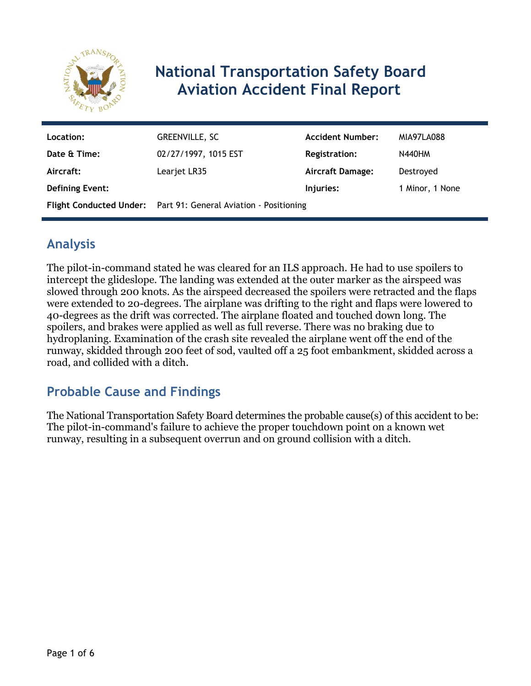

# **National Transportation Safety Board Aviation Accident Final Report**

| Location:              | GREENVILLE, SC                                                  | <b>Accident Number:</b> | MIA97LA088      |
|------------------------|-----------------------------------------------------------------|-------------------------|-----------------|
| Date & Time:           | 02/27/1997, 1015 EST                                            | <b>Registration:</b>    | <b>N440HM</b>   |
| Aircraft:              | Learjet LR35                                                    | Aircraft Damage:        | Destroyed       |
| <b>Defining Event:</b> |                                                                 | Injuries:               | 1 Minor, 1 None |
|                        | Flight Conducted Under: Part 91: General Aviation - Positioning |                         |                 |

# **Analysis**

The pilot-in-command stated he was cleared for an ILS approach. He had to use spoilers to intercept the glideslope. The landing was extended at the outer marker as the airspeed was slowed through 200 knots. As the airspeed decreased the spoilers were retracted and the flaps were extended to 20-degrees. The airplane was drifting to the right and flaps were lowered to 40-degrees as the drift was corrected. The airplane floated and touched down long. The spoilers, and brakes were applied as well as full reverse. There was no braking due to hydroplaning. Examination of the crash site revealed the airplane went off the end of the runway, skidded through 200 feet of sod, vaulted off a 25 foot embankment, skidded across a road, and collided with a ditch.

# **Probable Cause and Findings**

The National Transportation Safety Board determines the probable cause(s) of this accident to be: The pilot-in-command's failure to achieve the proper touchdown point on a known wet runway, resulting in a subsequent overrun and on ground collision with a ditch.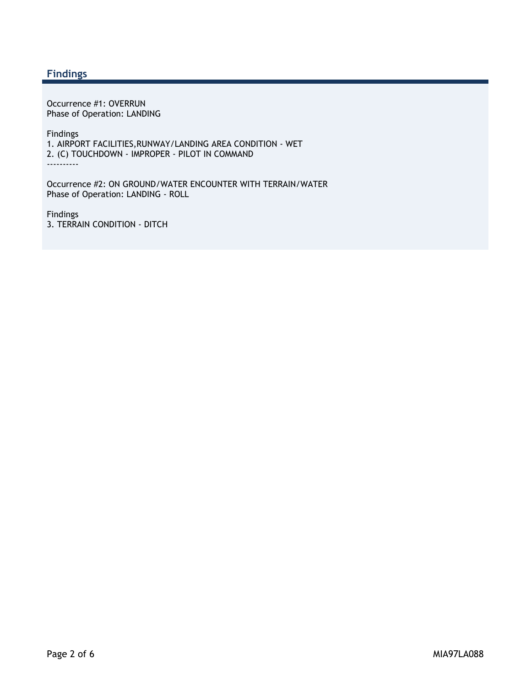#### **Findings**

Occurrence #1: OVERRUN Phase of Operation: LANDING

Findings 1. AIRPORT FACILITIES,RUNWAY/LANDING AREA CONDITION - WET 2. (C) TOUCHDOWN - IMPROPER - PILOT IN COMMAND ----------

Occurrence #2: ON GROUND/WATER ENCOUNTER WITH TERRAIN/WATER Phase of Operation: LANDING - ROLL

Findings 3. TERRAIN CONDITION - DITCH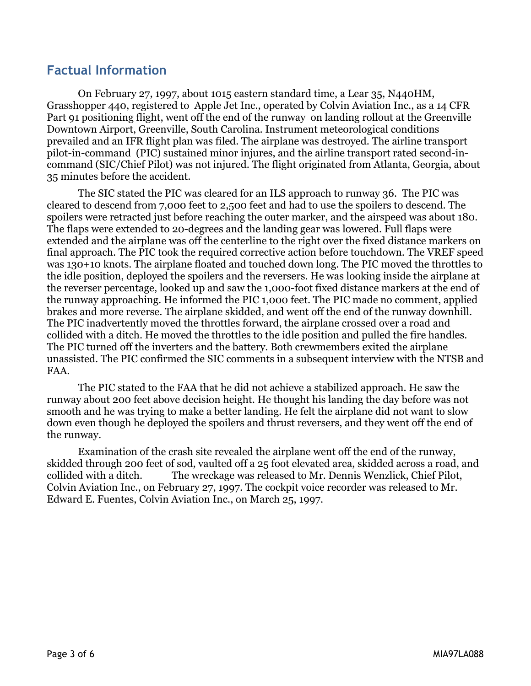### **Factual Information**

 On February 27, 1997, about 1015 eastern standard time, a Lear 35, N440HM, Grasshopper 440, registered to Apple Jet Inc., operated by Colvin Aviation Inc., as a 14 CFR Part 91 positioning flight, went off the end of the runway on landing rollout at the Greenville Downtown Airport, Greenville, South Carolina. Instrument meteorological conditions prevailed and an IFR flight plan was filed. The airplane was destroyed. The airline transport pilot-in-command (PIC) sustained minor injures, and the airline transport rated second-incommand (SIC/Chief Pilot) was not injured. The flight originated from Atlanta, Georgia, about 35 minutes before the accident.

The SIC stated the PIC was cleared for an ILS approach to runway 36. The PIC was cleared to descend from 7,000 feet to 2,500 feet and had to use the spoilers to descend. The spoilers were retracted just before reaching the outer marker, and the airspeed was about 180. The flaps were extended to 20-degrees and the landing gear was lowered. Full flaps were extended and the airplane was off the centerline to the right over the fixed distance markers on final approach. The PIC took the required corrective action before touchdown. The VREF speed was 130+10 knots. The airplane floated and touched down long. The PIC moved the throttles to the idle position, deployed the spoilers and the reversers. He was looking inside the airplane at the reverser percentage, looked up and saw the 1,000-foot fixed distance markers at the end of the runway approaching. He informed the PIC 1,000 feet. The PIC made no comment, applied brakes and more reverse. The airplane skidded, and went off the end of the runway downhill. The PIC inadvertently moved the throttles forward, the airplane crossed over a road and collided with a ditch. He moved the throttles to the idle position and pulled the fire handles. The PIC turned off the inverters and the battery. Both crewmembers exited the airplane unassisted. The PIC confirmed the SIC comments in a subsequent interview with the NTSB and FAA.

The PIC stated to the FAA that he did not achieve a stabilized approach. He saw the runway about 200 feet above decision height. He thought his landing the day before was not smooth and he was trying to make a better landing. He felt the airplane did not want to slow down even though he deployed the spoilers and thrust reversers, and they went off the end of the runway.

Examination of the crash site revealed the airplane went off the end of the runway, skidded through 200 feet of sod, vaulted off a 25 foot elevated area, skidded across a road, and collided with a ditch. The wreckage was released to Mr. Dennis Wenzlick, Chief Pilot, Colvin Aviation Inc., on February 27, 1997. The cockpit voice recorder was released to Mr. Edward E. Fuentes, Colvin Aviation Inc., on March 25, 1997.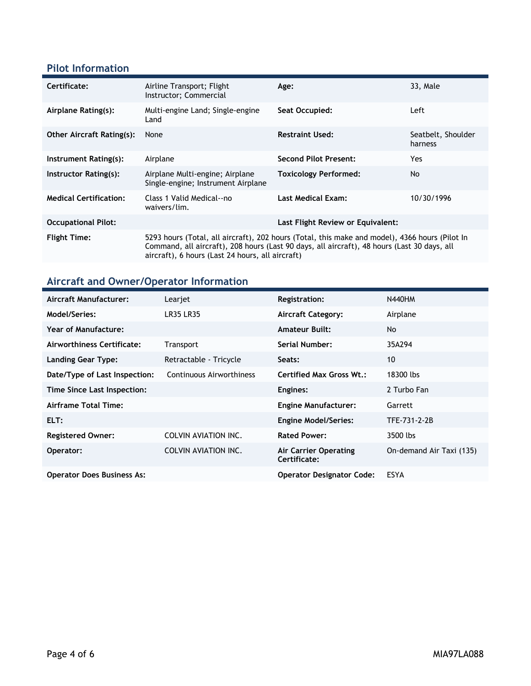### **Pilot Information**

| Certificate:                     | Airline Transport; Flight<br>Instructor; Commercial                                                                                                                                                                                               | Age:                              | 33, Male                      |
|----------------------------------|---------------------------------------------------------------------------------------------------------------------------------------------------------------------------------------------------------------------------------------------------|-----------------------------------|-------------------------------|
| Airplane Rating(s):              | Multi-engine Land; Single-engine<br>Land                                                                                                                                                                                                          | Seat Occupied:                    | Left                          |
| <b>Other Aircraft Rating(s):</b> | None                                                                                                                                                                                                                                              | <b>Restraint Used:</b>            | Seatbelt, Shoulder<br>harness |
| Instrument Rating(s):            | Airplane                                                                                                                                                                                                                                          | <b>Second Pilot Present:</b>      | Yes.                          |
| Instructor Rating(s):            | Airplane Multi-engine; Airplane<br>Single-engine; Instrument Airplane                                                                                                                                                                             | <b>Toxicology Performed:</b>      | No.                           |
| <b>Medical Certification:</b>    | Class 1 Valid Medical--no<br>waivers/lim.                                                                                                                                                                                                         | <b>Last Medical Exam:</b>         | 10/30/1996                    |
| <b>Occupational Pilot:</b>       |                                                                                                                                                                                                                                                   | Last Flight Review or Equivalent: |                               |
| <b>Flight Time:</b>              | 5293 hours (Total, all aircraft), 202 hours (Total, this make and model), 4366 hours (Pilot In<br>Command, all aircraft), 208 hours (Last 90 days, all aircraft), 48 hours (Last 30 days, all<br>aircraft), 6 hours (Last 24 hours, all aircraft) |                                   |                               |

# **Aircraft and Owner/Operator Information**

| <b>Aircraft Manufacturer:</b>     | Learjet                     | <b>Registration:</b>                  | <b>N440HM</b>            |
|-----------------------------------|-----------------------------|---------------------------------------|--------------------------|
| Model/Series:                     | <b>LR35 LR35</b>            | <b>Aircraft Category:</b>             | Airplane                 |
| <b>Year of Manufacture:</b>       |                             | <b>Amateur Built:</b>                 | No                       |
| Airworthiness Certificate:        | <b>Transport</b>            | <b>Serial Number:</b>                 | 35A294                   |
| <b>Landing Gear Type:</b>         | Retractable - Tricycle      | Seats:                                | 10                       |
| Date/Type of Last Inspection:     | Continuous Airworthiness    | <b>Certified Max Gross Wt.:</b>       | 18300 lbs                |
| Time Since Last Inspection:       |                             | Engines:                              | 2 Turbo Fan              |
| <b>Airframe Total Time:</b>       |                             | <b>Engine Manufacturer:</b>           | Garrett                  |
| ELT:                              |                             | <b>Engine Model/Series:</b>           | TFE-731-2-2B             |
| <b>Registered Owner:</b>          | <b>COLVIN AVIATION INC.</b> | <b>Rated Power:</b>                   | 3500 lbs                 |
| Operator:                         | <b>COLVIN AVIATION INC.</b> | Air Carrier Operating<br>Certificate: | On-demand Air Taxi (135) |
| <b>Operator Does Business As:</b> |                             | <b>Operator Designator Code:</b>      | <b>ESYA</b>              |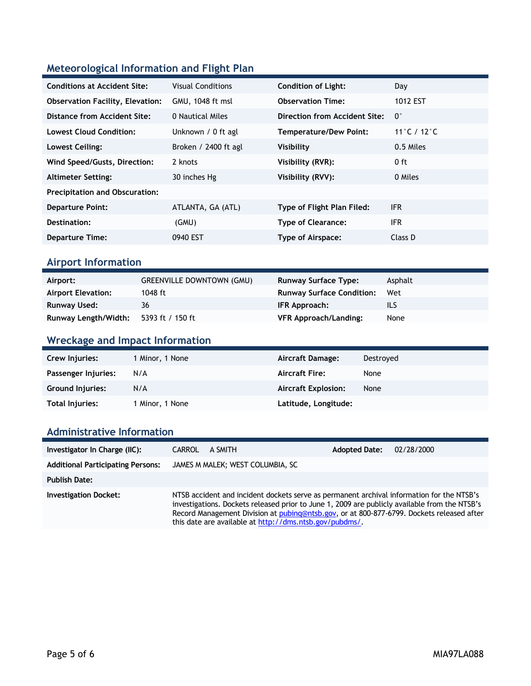### **Meteorological Information and Flight Plan**

| <b>Conditions at Accident Site:</b>     | <b>Visual Conditions</b> | <b>Condition of Light:</b>    | Day                |
|-----------------------------------------|--------------------------|-------------------------------|--------------------|
| <b>Observation Facility, Elevation:</b> | GMU, 1048 ft msl         | <b>Observation Time:</b>      | 1012 EST           |
| Distance from Accident Site:            | 0 Nautical Miles         | Direction from Accident Site: | $\mathsf{O}^\circ$ |
| <b>Lowest Cloud Condition:</b>          | Unknown / 0 ft agl       | Temperature/Dew Point:        | 11°C / 12°C        |
| Lowest Ceiling:                         | Broken / 2400 ft agl     | Visibility                    | 0.5 Miles          |
| Wind Speed/Gusts, Direction:            | 2 knots                  | Visibility (RVR):             | $0$ ft             |
| <b>Altimeter Setting:</b>               | 30 inches Hg             | Visibility (RVV):             | 0 Miles            |
| <b>Precipitation and Obscuration:</b>   |                          |                               |                    |
| <b>Departure Point:</b>                 | ATLANTA, GA (ATL)        | Type of Flight Plan Filed:    | IFR.               |
| Destination:                            | (GMU)                    | <b>Type of Clearance:</b>     | <b>IFR</b>         |
| <b>Departure Time:</b>                  | 0940 EST                 | Type of Airspace:             | Class D            |

#### **Airport Information**

| Airport:                  | <b>GREENVILLE DOWNTOWN (GMU)</b> | <b>Runway Surface Type:</b>      | Asphalt |
|---------------------------|----------------------------------|----------------------------------|---------|
| <b>Airport Elevation:</b> | 1048 ft                          | <b>Runway Surface Condition:</b> | Wet     |
| Runway Used:              | 36                               | IFR Approach:                    | ILS     |
| Runway Length/Width:      | 5393 ft / 150 ft                 | <b>VFR Approach/Landing:</b>     | None    |

### **Wreckage and Impact Information**

| Crew Injuries:          | 1 Minor, 1 None | Aircraft Damage:           | Destroved |
|-------------------------|-----------------|----------------------------|-----------|
| Passenger Injuries:     | N/A             | <b>Aircraft Fire:</b>      | None      |
| <b>Ground Injuries:</b> | N/A             | <b>Aircraft Explosion:</b> | None      |
| Total Injuries:         | 1 Minor, 1 None | Latitude, Longitude:       |           |

#### **Administrative Information**

| Investigator In Charge (IIC):            | A SMITH<br><b>CARROL</b>                                                                                                                                                                                                                                                                                                                           | <b>Adopted Date:</b> | 02/28/2000 |
|------------------------------------------|----------------------------------------------------------------------------------------------------------------------------------------------------------------------------------------------------------------------------------------------------------------------------------------------------------------------------------------------------|----------------------|------------|
| <b>Additional Participating Persons:</b> | JAMES M MALEK; WEST COLUMBIA, SC                                                                                                                                                                                                                                                                                                                   |                      |            |
| <b>Publish Date:</b>                     |                                                                                                                                                                                                                                                                                                                                                    |                      |            |
| <b>Investigation Docket:</b>             | NTSB accident and incident dockets serve as permanent archival information for the NTSB's<br>investigations. Dockets released prior to June 1, 2009 are publicly available from the NTSB's<br>Record Management Division at pubing@ntsb.gov, or at 800-877-6799. Dockets released after<br>this date are available at http://dms.ntsb.gov/pubdms/. |                      |            |